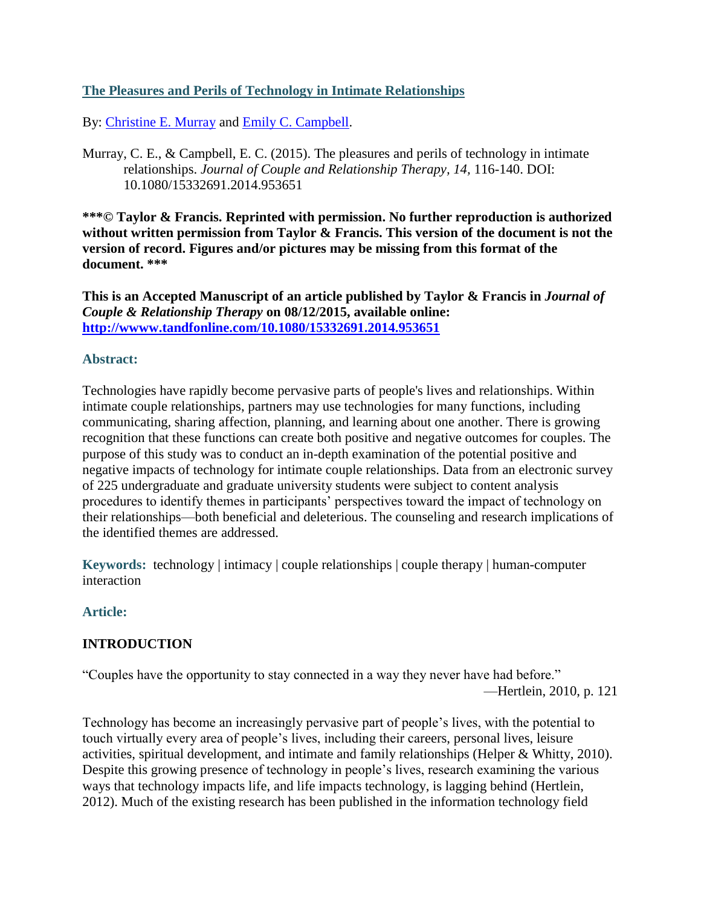## **The Pleasures and Perils of Technology in Intimate Relationships**

By: [Christine E. Murray](https://libres.uncg.edu/ir/uncg/clist.aspx?id=894) and [Emily C. Campbell.](https://libres.uncg.edu/ir/uncg/clist.aspx?id=9338)

Murray, C. E., & Campbell, E. C. (2015). The pleasures and perils of technology in intimate relationships. *Journal of Couple and Relationship Therapy, 14,* 116-140. DOI: 10.1080/15332691.2014.953651

**\*\*\*© Taylor & Francis. Reprinted with permission. No further reproduction is authorized without written permission from Taylor & Francis. This version of the document is not the version of record. Figures and/or pictures may be missing from this format of the document. \*\*\***

**This is an Accepted Manuscript of an article published by Taylor & Francis in** *Journal of Couple & Relationship Therapy* **on 08/12/2015, available online: <http://wwww.tandfonline.com/10.1080/15332691.2014.953651>**

## **Abstract:**

Technologies have rapidly become pervasive parts of people's lives and relationships. Within intimate couple relationships, partners may use technologies for many functions, including communicating, sharing affection, planning, and learning about one another. There is growing recognition that these functions can create both positive and negative outcomes for couples. The purpose of this study was to conduct an in-depth examination of the potential positive and negative impacts of technology for intimate couple relationships. Data from an electronic survey of 225 undergraduate and graduate university students were subject to content analysis procedures to identify themes in participants' perspectives toward the impact of technology on their relationships—both beneficial and deleterious. The counseling and research implications of the identified themes are addressed.

**Keywords:** technology | intimacy | couple relationships | couple therapy | human-computer interaction

## **Article:**

## **INTRODUCTION**

"Couples have the opportunity to stay connected in a way they never have had before." —Hertlein, 2010, p. 121

Technology has become an increasingly pervasive part of people's lives, with the potential to touch virtually every area of people's lives, including their careers, personal lives, leisure activities, spiritual development, and intimate and family relationships (Helper & Whitty, 2010). Despite this growing presence of technology in people's lives, research examining the various ways that technology impacts life, and life impacts technology, is lagging behind (Hertlein, 2012). Much of the existing research has been published in the information technology field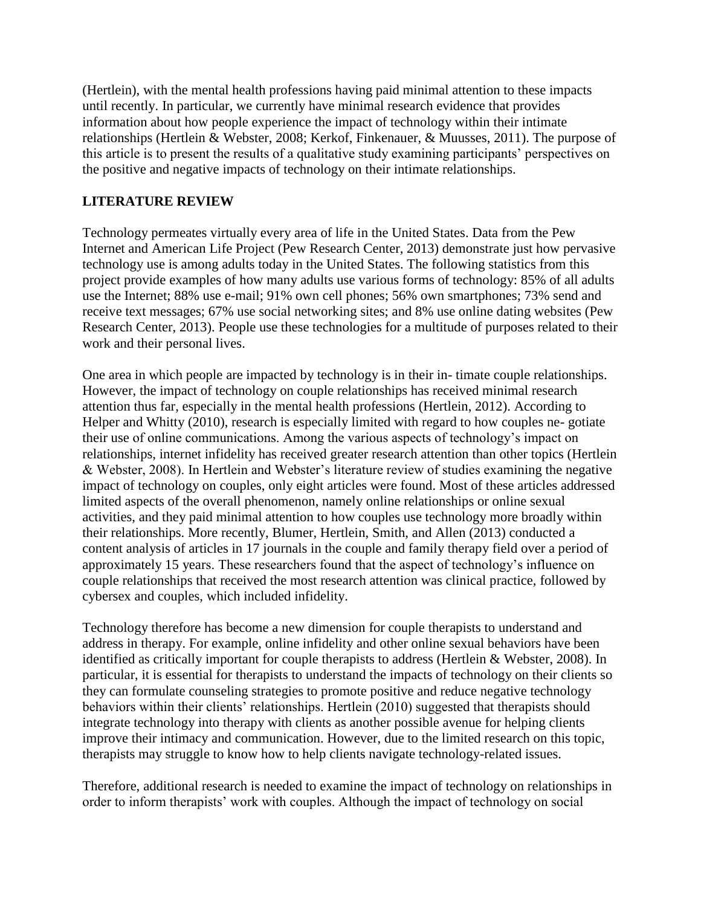(Hertlein), with the mental health professions having paid minimal attention to these impacts until recently. In particular, we currently have minimal research evidence that provides information about how people experience the impact of technology within their intimate relationships (Hertlein & Webster, 2008; Kerkof, Finkenauer, & Muusses, 2011). The purpose of this article is to present the results of a qualitative study examining participants' perspectives on the positive and negative impacts of technology on their intimate relationships.

## **LITERATURE REVIEW**

Technology permeates virtually every area of life in the United States. Data from the Pew Internet and American Life Project (Pew Research Center, 2013) demonstrate just how pervasive technology use is among adults today in the United States. The following statistics from this project provide examples of how many adults use various forms of technology: 85% of all adults use the Internet; 88% use e-mail; 91% own cell phones; 56% own smartphones; 73% send and receive text messages; 67% use social networking sites; and 8% use online dating websites (Pew Research Center, 2013). People use these technologies for a multitude of purposes related to their work and their personal lives.

One area in which people are impacted by technology is in their in- timate couple relationships. However, the impact of technology on couple relationships has received minimal research attention thus far, especially in the mental health professions (Hertlein, 2012). According to Helper and Whitty (2010), research is especially limited with regard to how couples ne- gotiate their use of online communications. Among the various aspects of technology's impact on relationships, internet infidelity has received greater research attention than other topics (Hertlein & Webster, 2008). In Hertlein and Webster's literature review of studies examining the negative impact of technology on couples, only eight articles were found. Most of these articles addressed limited aspects of the overall phenomenon, namely online relationships or online sexual activities, and they paid minimal attention to how couples use technology more broadly within their relationships. More recently, Blumer, Hertlein, Smith, and Allen (2013) conducted a content analysis of articles in 17 journals in the couple and family therapy field over a period of approximately 15 years. These researchers found that the aspect of technology's influence on couple relationships that received the most research attention was clinical practice, followed by cybersex and couples, which included infidelity.

Technology therefore has become a new dimension for couple therapists to understand and address in therapy. For example, online infidelity and other online sexual behaviors have been identified as critically important for couple therapists to address (Hertlein & Webster, 2008). In particular, it is essential for therapists to understand the impacts of technology on their clients so they can formulate counseling strategies to promote positive and reduce negative technology behaviors within their clients' relationships. Hertlein (2010) suggested that therapists should integrate technology into therapy with clients as another possible avenue for helping clients improve their intimacy and communication. However, due to the limited research on this topic, therapists may struggle to know how to help clients navigate technology-related issues.

Therefore, additional research is needed to examine the impact of technology on relationships in order to inform therapists' work with couples. Although the impact of technology on social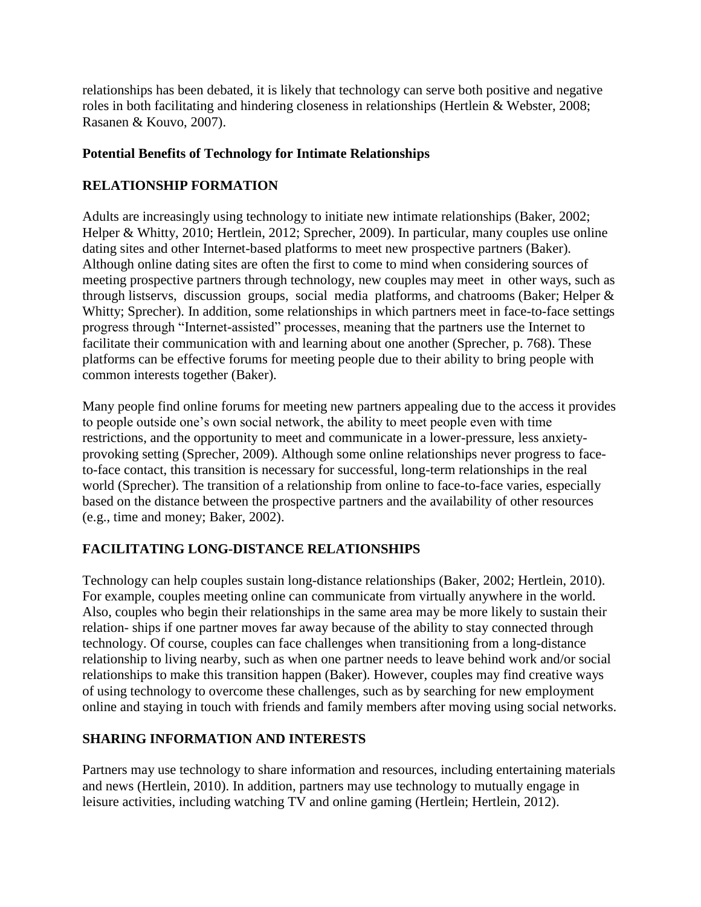relationships has been debated, it is likely that technology can serve both positive and negative roles in both facilitating and hindering closeness in relationships (Hertlein & Webster, 2008; Rasanen & Kouvo, 2007).

## **Potential Benefits of Technology for Intimate Relationships**

## **RELATIONSHIP FORMATION**

Adults are increasingly using technology to initiate new intimate relationships (Baker, 2002; Helper & Whitty, 2010; Hertlein, 2012; Sprecher, 2009). In particular, many couples use online dating sites and other Internet-based platforms to meet new prospective partners (Baker). Although online dating sites are often the first to come to mind when considering sources of meeting prospective partners through technology, new couples may meet in other ways, such as through listservs, discussion groups, social media platforms, and chatrooms (Baker; Helper & Whitty; Sprecher). In addition, some relationships in which partners meet in face-to-face settings progress through "Internet-assisted" processes, meaning that the partners use the Internet to facilitate their communication with and learning about one another (Sprecher, p. 768). These platforms can be effective forums for meeting people due to their ability to bring people with common interests together (Baker).

Many people find online forums for meeting new partners appealing due to the access it provides to people outside one's own social network, the ability to meet people even with time restrictions, and the opportunity to meet and communicate in a lower-pressure, less anxietyprovoking setting (Sprecher, 2009). Although some online relationships never progress to faceto-face contact, this transition is necessary for successful, long-term relationships in the real world (Sprecher). The transition of a relationship from online to face-to-face varies, especially based on the distance between the prospective partners and the availability of other resources (e.g., time and money; Baker, 2002).

# **FACILITATING LONG-DISTANCE RELATIONSHIPS**

Technology can help couples sustain long-distance relationships (Baker, 2002; Hertlein, 2010). For example, couples meeting online can communicate from virtually anywhere in the world. Also, couples who begin their relationships in the same area may be more likely to sustain their relation- ships if one partner moves far away because of the ability to stay connected through technology. Of course, couples can face challenges when transitioning from a long-distance relationship to living nearby, such as when one partner needs to leave behind work and/or social relationships to make this transition happen (Baker). However, couples may find creative ways of using technology to overcome these challenges, such as by searching for new employment online and staying in touch with friends and family members after moving using social networks.

## **SHARING INFORMATION AND INTERESTS**

Partners may use technology to share information and resources, including entertaining materials and news (Hertlein, 2010). In addition, partners may use technology to mutually engage in leisure activities, including watching TV and online gaming (Hertlein; Hertlein, 2012).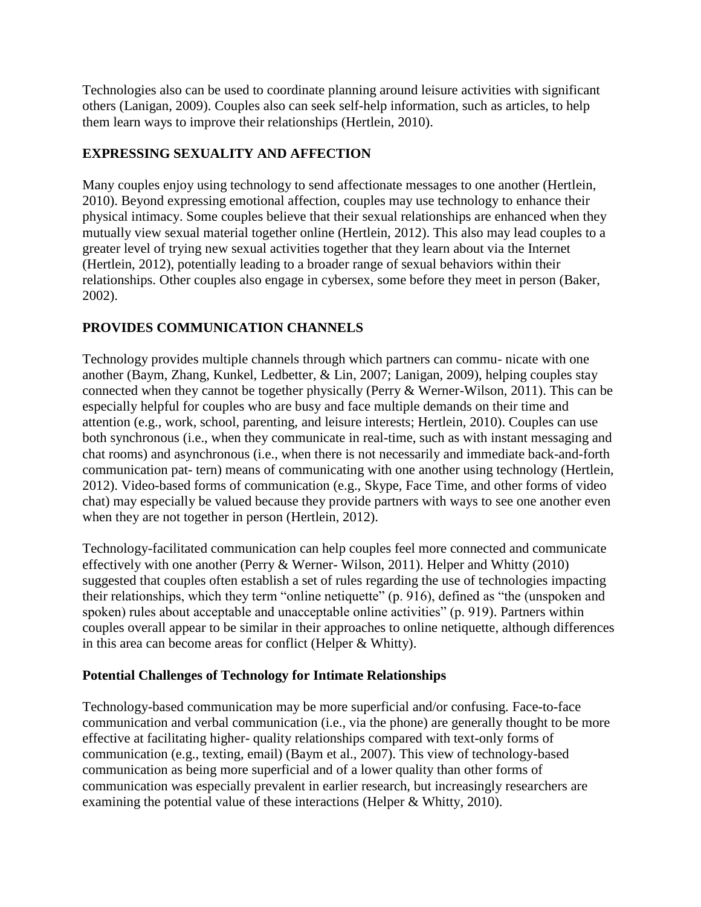Technologies also can be used to coordinate planning around leisure activities with significant others (Lanigan, 2009). Couples also can seek self-help information, such as articles, to help them learn ways to improve their relationships (Hertlein, 2010).

# **EXPRESSING SEXUALITY AND AFFECTION**

Many couples enjoy using technology to send affectionate messages to one another (Hertlein, 2010). Beyond expressing emotional affection, couples may use technology to enhance their physical intimacy. Some couples believe that their sexual relationships are enhanced when they mutually view sexual material together online (Hertlein, 2012). This also may lead couples to a greater level of trying new sexual activities together that they learn about via the Internet (Hertlein, 2012), potentially leading to a broader range of sexual behaviors within their relationships. Other couples also engage in cybersex, some before they meet in person (Baker, 2002).

## **PROVIDES COMMUNICATION CHANNELS**

Technology provides multiple channels through which partners can commu- nicate with one another (Baym, Zhang, Kunkel, Ledbetter, & Lin, 2007; Lanigan, 2009), helping couples stay connected when they cannot be together physically (Perry & Werner-Wilson, 2011). This can be especially helpful for couples who are busy and face multiple demands on their time and attention (e.g., work, school, parenting, and leisure interests; Hertlein, 2010). Couples can use both synchronous (i.e., when they communicate in real-time, such as with instant messaging and chat rooms) and asynchronous (i.e., when there is not necessarily and immediate back-and-forth communication pat- tern) means of communicating with one another using technology (Hertlein, 2012). Video-based forms of communication (e.g., Skype, Face Time, and other forms of video chat) may especially be valued because they provide partners with ways to see one another even when they are not together in person (Hertlein, 2012).

Technology-facilitated communication can help couples feel more connected and communicate effectively with one another (Perry & Werner- Wilson, 2011). Helper and Whitty (2010) suggested that couples often establish a set of rules regarding the use of technologies impacting their relationships, which they term "online netiquette" (p. 916), defined as "the (unspoken and spoken) rules about acceptable and unacceptable online activities" (p. 919). Partners within couples overall appear to be similar in their approaches to online netiquette, although differences in this area can become areas for conflict (Helper & Whitty).

## **Potential Challenges of Technology for Intimate Relationships**

Technology-based communication may be more superficial and/or confusing. Face-to-face communication and verbal communication (i.e., via the phone) are generally thought to be more effective at facilitating higher- quality relationships compared with text-only forms of communication (e.g., texting, email) (Baym et al., 2007). This view of technology-based communication as being more superficial and of a lower quality than other forms of communication was especially prevalent in earlier research, but increasingly researchers are examining the potential value of these interactions (Helper & Whitty, 2010).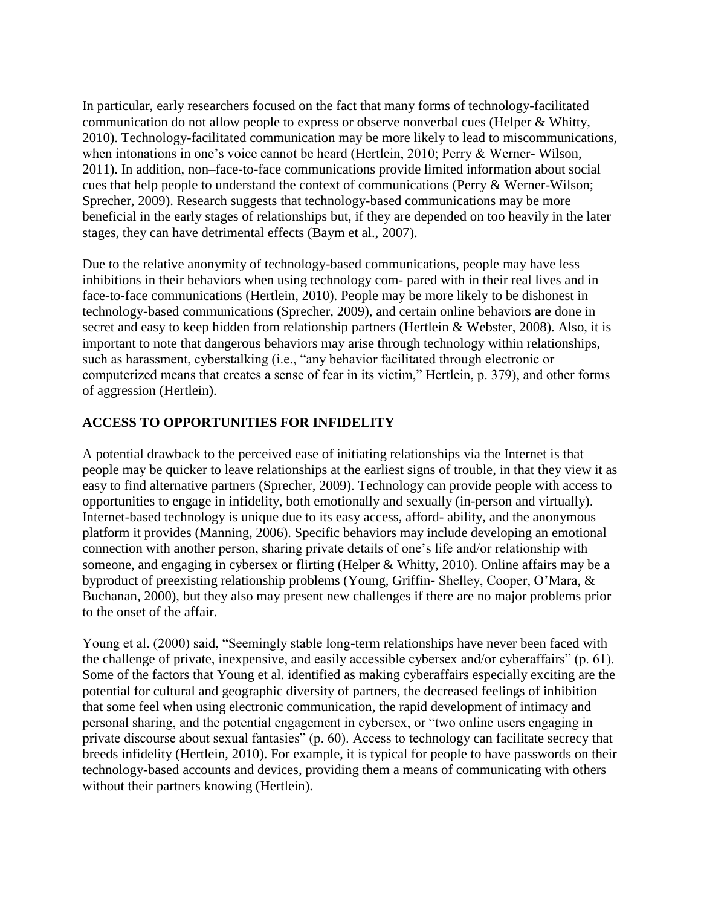In particular, early researchers focused on the fact that many forms of technology-facilitated communication do not allow people to express or observe nonverbal cues (Helper & Whitty, 2010). Technology-facilitated communication may be more likely to lead to miscommunications, when intonations in one's voice cannot be heard (Hertlein, 2010; Perry & Werner- Wilson, 2011). In addition, non–face-to-face communications provide limited information about social cues that help people to understand the context of communications (Perry & Werner-Wilson; Sprecher, 2009). Research suggests that technology-based communications may be more beneficial in the early stages of relationships but, if they are depended on too heavily in the later stages, they can have detrimental effects (Baym et al., 2007).

Due to the relative anonymity of technology-based communications, people may have less inhibitions in their behaviors when using technology com- pared with in their real lives and in face-to-face communications (Hertlein, 2010). People may be more likely to be dishonest in technology-based communications (Sprecher, 2009), and certain online behaviors are done in secret and easy to keep hidden from relationship partners (Hertlein & Webster, 2008). Also, it is important to note that dangerous behaviors may arise through technology within relationships, such as harassment, cyberstalking (i.e., "any behavior facilitated through electronic or computerized means that creates a sense of fear in its victim," Hertlein, p. 379), and other forms of aggression (Hertlein).

## **ACCESS TO OPPORTUNITIES FOR INFIDELITY**

A potential drawback to the perceived ease of initiating relationships via the Internet is that people may be quicker to leave relationships at the earliest signs of trouble, in that they view it as easy to find alternative partners (Sprecher, 2009). Technology can provide people with access to opportunities to engage in infidelity, both emotionally and sexually (in-person and virtually). Internet-based technology is unique due to its easy access, afford- ability, and the anonymous platform it provides (Manning, 2006). Specific behaviors may include developing an emotional connection with another person, sharing private details of one's life and/or relationship with someone, and engaging in cybersex or flirting (Helper & Whitty, 2010). Online affairs may be a byproduct of preexisting relationship problems (Young, Griffin- Shelley, Cooper, O'Mara, & Buchanan, 2000), but they also may present new challenges if there are no major problems prior to the onset of the affair.

Young et al. (2000) said, "Seemingly stable long-term relationships have never been faced with the challenge of private, inexpensive, and easily accessible cybersex and/or cyberaffairs" (p. 61). Some of the factors that Young et al. identified as making cyberaffairs especially exciting are the potential for cultural and geographic diversity of partners, the decreased feelings of inhibition that some feel when using electronic communication, the rapid development of intimacy and personal sharing, and the potential engagement in cybersex, or "two online users engaging in private discourse about sexual fantasies" (p. 60). Access to technology can facilitate secrecy that breeds infidelity (Hertlein, 2010). For example, it is typical for people to have passwords on their technology-based accounts and devices, providing them a means of communicating with others without their partners knowing (Hertlein).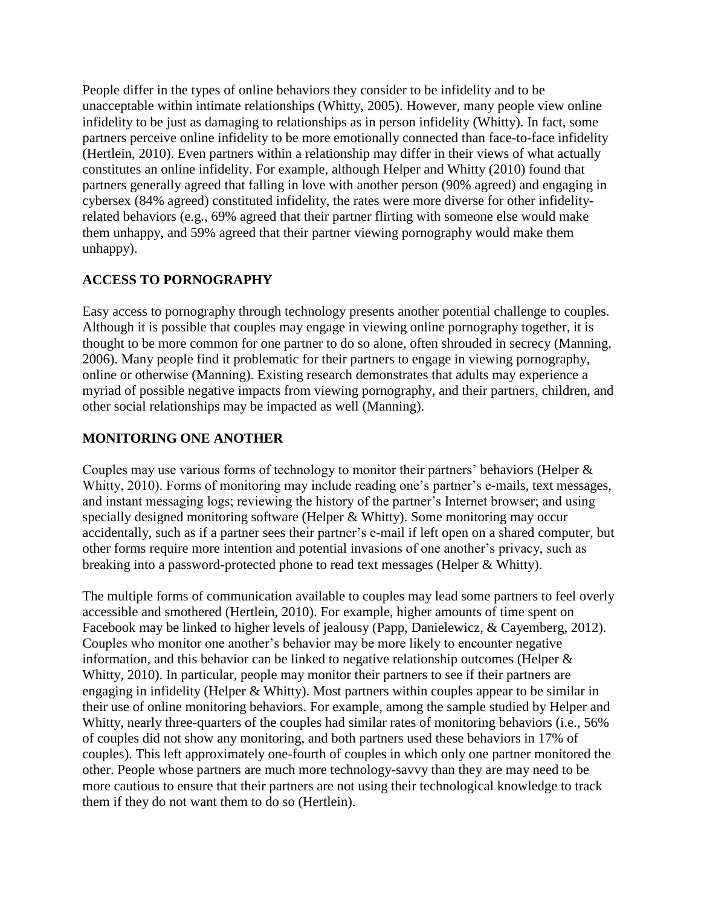People differ in the types of online behaviors they consider to be infidelity and to be unacceptable within intimate relationships (Whitty, 2005). However, many people view online infidelity to be just as damaging to relationships as in person infidelity (Whitty). In fact, some partners perceive online infidelity to be more emotionally connected than face-to-face infidelity (Hertlein, 2010). Even partners within a relationship may differ in their views of what actually constitutes an online infidelity. For example, although Helper and Whitty (2010) found that partners generally agreed that falling in love with another person (90% agreed) and engaging in cybersex (84% agreed) constituted infidelity, the rates were more diverse for other infidelityrelated behaviors (e.g., 69% agreed that their partner flirting with someone else would make them unhappy, and 59% agreed that their partner viewing pornography would make them unhappy).

## **ACCESS TO PORNOGRAPHY**

Easy access to pornography through technology presents another potential challenge to couples. Although it is possible that couples may engage in viewing online pornography together, it is thought to be more common for one partner to do so alone, often shrouded in secrecy (Manning, 2006). Many people find it problematic for their partners to engage in viewing pornography, online or otherwise (Manning). Existing research demonstrates that adults may experience a myriad of possible negative impacts from viewing pornography, and their partners, children, and other social relationships may be impacted as well (Manning).

## **MONITORING ONE ANOTHER**

Couples may use various forms of technology to monitor their partners' behaviors (Helper & Whitty, 2010). Forms of monitoring may include reading one's partner's e-mails, text messages, and instant messaging logs; reviewing the history of the partner's Internet browser; and using specially designed monitoring software (Helper & Whitty). Some monitoring may occur accidentally, such as if a partner sees their partner's e-mail if left open on a shared computer, but other forms require more intention and potential invasions of one another's privacy, such as breaking into a password-protected phone to read text messages (Helper & Whitty).

The multiple forms of communication available to couples may lead some partners to feel overly accessible and smothered (Hertlein, 2010). For example, higher amounts of time spent on Facebook may be linked to higher levels of jealousy (Papp, Danielewicz, & Cayemberg, 2012). Couples who monitor one another's behavior may be more likely to encounter negative information, and this behavior can be linked to negative relationship outcomes (Helper & Whitty, 2010). In particular, people may monitor their partners to see if their partners are engaging in infidelity (Helper & Whitty). Most partners within couples appear to be similar in their use of online monitoring behaviors. For example, among the sample studied by Helper and Whitty, nearly three-quarters of the couples had similar rates of monitoring behaviors (i.e., 56% of couples did not show any monitoring, and both partners used these behaviors in 17% of couples). This left approximately one-fourth of couples in which only one partner monitored the other. People whose partners are much more technology-savvy than they are may need to be more cautious to ensure that their partners are not using their technological knowledge to track them if they do not want them to do so (Hertlein).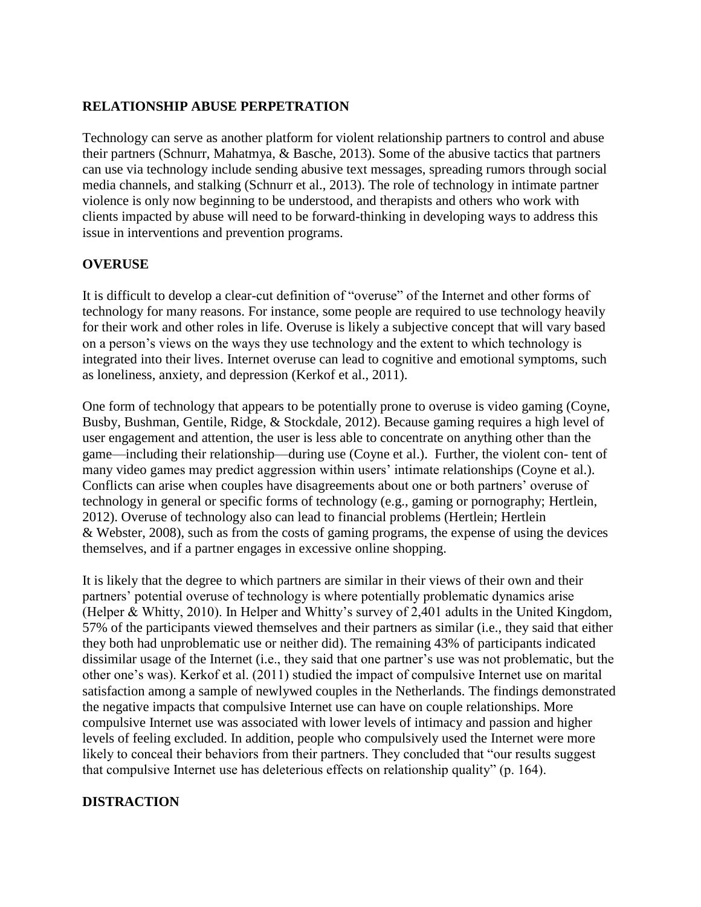### **RELATIONSHIP ABUSE PERPETRATION**

Technology can serve as another platform for violent relationship partners to control and abuse their partners (Schnurr, Mahatmya, & Basche, 2013). Some of the abusive tactics that partners can use via technology include sending abusive text messages, spreading rumors through social media channels, and stalking (Schnurr et al., 2013). The role of technology in intimate partner violence is only now beginning to be understood, and therapists and others who work with clients impacted by abuse will need to be forward-thinking in developing ways to address this issue in interventions and prevention programs.

### **OVERUSE**

It is difficult to develop a clear-cut definition of "overuse" of the Internet and other forms of technology for many reasons. For instance, some people are required to use technology heavily for their work and other roles in life. Overuse is likely a subjective concept that will vary based on a person's views on the ways they use technology and the extent to which technology is integrated into their lives. Internet overuse can lead to cognitive and emotional symptoms, such as loneliness, anxiety, and depression (Kerkof et al., 2011).

One form of technology that appears to be potentially prone to overuse is video gaming (Coyne, Busby, Bushman, Gentile, Ridge, & Stockdale, 2012). Because gaming requires a high level of user engagement and attention, the user is less able to concentrate on anything other than the game—including their relationship—during use (Coyne et al.). Further, the violent con- tent of many video games may predict aggression within users' intimate relationships (Coyne et al.). Conflicts can arise when couples have disagreements about one or both partners' overuse of technology in general or specific forms of technology (e.g., gaming or pornography; Hertlein, 2012). Overuse of technology also can lead to financial problems (Hertlein; Hertlein & Webster, 2008), such as from the costs of gaming programs, the expense of using the devices themselves, and if a partner engages in excessive online shopping.

It is likely that the degree to which partners are similar in their views of their own and their partners' potential overuse of technology is where potentially problematic dynamics arise (Helper & Whitty, 2010). In Helper and Whitty's survey of 2,401 adults in the United Kingdom, 57% of the participants viewed themselves and their partners as similar (i.e., they said that either they both had unproblematic use or neither did). The remaining 43% of participants indicated dissimilar usage of the Internet (i.e., they said that one partner's use was not problematic, but the other one's was). Kerkof et al. (2011) studied the impact of compulsive Internet use on marital satisfaction among a sample of newlywed couples in the Netherlands. The findings demonstrated the negative impacts that compulsive Internet use can have on couple relationships. More compulsive Internet use was associated with lower levels of intimacy and passion and higher levels of feeling excluded. In addition, people who compulsively used the Internet were more likely to conceal their behaviors from their partners. They concluded that "our results suggest that compulsive Internet use has deleterious effects on relationship quality" (p. 164).

#### **DISTRACTION**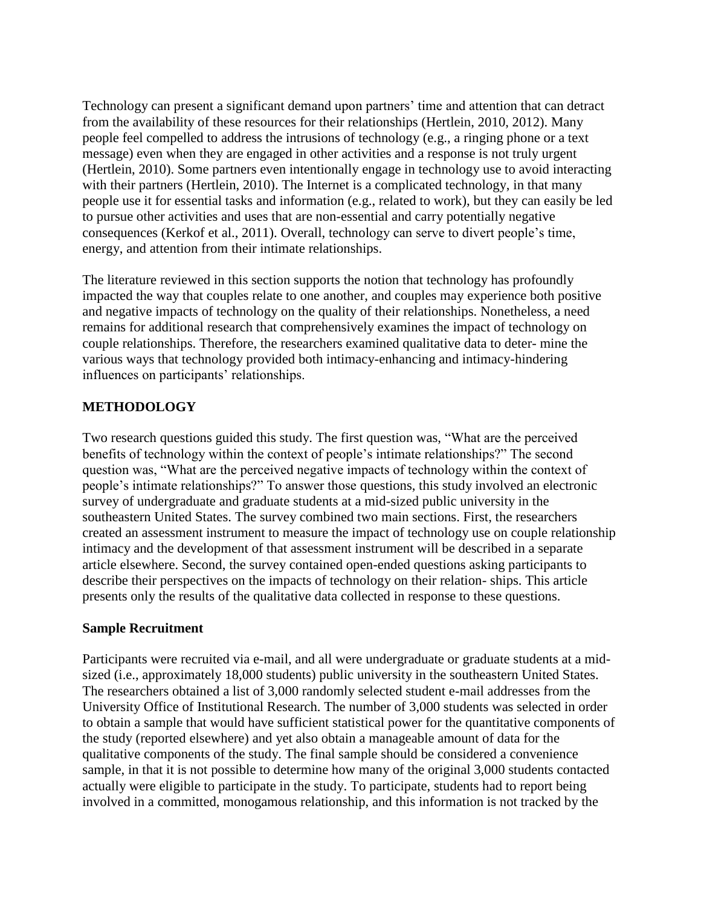Technology can present a significant demand upon partners' time and attention that can detract from the availability of these resources for their relationships (Hertlein, 2010, 2012). Many people feel compelled to address the intrusions of technology (e.g., a ringing phone or a text message) even when they are engaged in other activities and a response is not truly urgent (Hertlein, 2010). Some partners even intentionally engage in technology use to avoid interacting with their partners (Hertlein, 2010). The Internet is a complicated technology, in that many people use it for essential tasks and information (e.g., related to work), but they can easily be led to pursue other activities and uses that are non-essential and carry potentially negative consequences (Kerkof et al., 2011). Overall, technology can serve to divert people's time, energy, and attention from their intimate relationships.

The literature reviewed in this section supports the notion that technology has profoundly impacted the way that couples relate to one another, and couples may experience both positive and negative impacts of technology on the quality of their relationships. Nonetheless, a need remains for additional research that comprehensively examines the impact of technology on couple relationships. Therefore, the researchers examined qualitative data to deter- mine the various ways that technology provided both intimacy-enhancing and intimacy-hindering influences on participants' relationships.

## **METHODOLOGY**

Two research questions guided this study. The first question was, "What are the perceived benefits of technology within the context of people's intimate relationships?" The second question was, "What are the perceived negative impacts of technology within the context of people's intimate relationships?" To answer those questions, this study involved an electronic survey of undergraduate and graduate students at a mid-sized public university in the southeastern United States. The survey combined two main sections. First, the researchers created an assessment instrument to measure the impact of technology use on couple relationship intimacy and the development of that assessment instrument will be described in a separate article elsewhere. Second, the survey contained open-ended questions asking participants to describe their perspectives on the impacts of technology on their relation- ships. This article presents only the results of the qualitative data collected in response to these questions.

#### **Sample Recruitment**

Participants were recruited via e-mail, and all were undergraduate or graduate students at a midsized (i.e., approximately 18,000 students) public university in the southeastern United States. The researchers obtained a list of 3,000 randomly selected student e-mail addresses from the University Office of Institutional Research. The number of 3,000 students was selected in order to obtain a sample that would have sufficient statistical power for the quantitative components of the study (reported elsewhere) and yet also obtain a manageable amount of data for the qualitative components of the study. The final sample should be considered a convenience sample, in that it is not possible to determine how many of the original 3,000 students contacted actually were eligible to participate in the study. To participate, students had to report being involved in a committed, monogamous relationship, and this information is not tracked by the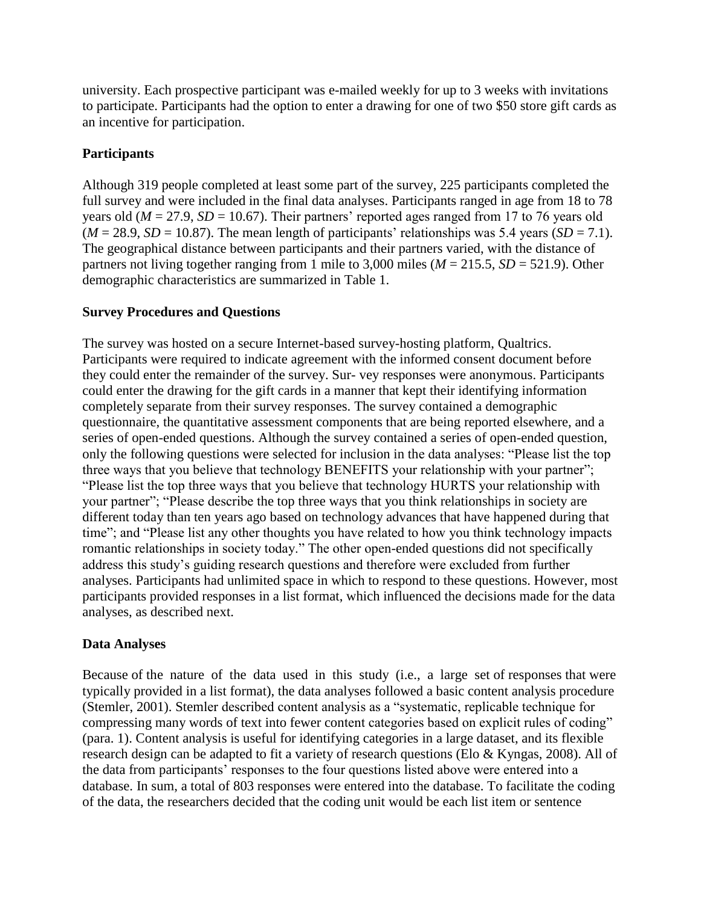university. Each prospective participant was e-mailed weekly for up to 3 weeks with invitations to participate. Participants had the option to enter a drawing for one of two \$50 store gift cards as an incentive for participation.

## **Participants**

Although 319 people completed at least some part of the survey, 225 participants completed the full survey and were included in the final data analyses. Participants ranged in age from 18 to 78 years old ( $M = 27.9$ ,  $SD = 10.67$ ). Their partners' reported ages ranged from 17 to 76 years old  $(M = 28.9, SD = 10.87)$ . The mean length of participants' relationships was 5.4 years (*SD* = 7.1). The geographical distance between participants and their partners varied, with the distance of partners not living together ranging from 1 mile to 3,000 miles (*M* = 215.5, *SD* = 521.9). Other demographic characteristics are summarized in Table 1.

## **Survey Procedures and Questions**

The survey was hosted on a secure Internet-based survey-hosting platform, Qualtrics. Participants were required to indicate agreement with the informed consent document before they could enter the remainder of the survey. Sur- vey responses were anonymous. Participants could enter the drawing for the gift cards in a manner that kept their identifying information completely separate from their survey responses. The survey contained a demographic questionnaire, the quantitative assessment components that are being reported elsewhere, and a series of open-ended questions. Although the survey contained a series of open-ended question, only the following questions were selected for inclusion in the data analyses: "Please list the top three ways that you believe that technology BENEFITS your relationship with your partner"; "Please list the top three ways that you believe that technology HURTS your relationship with your partner"; "Please describe the top three ways that you think relationships in society are different today than ten years ago based on technology advances that have happened during that time"; and "Please list any other thoughts you have related to how you think technology impacts romantic relationships in society today." The other open-ended questions did not specifically address this study's guiding research questions and therefore were excluded from further analyses. Participants had unlimited space in which to respond to these questions. However, most participants provided responses in a list format, which influenced the decisions made for the data analyses, as described next.

## **Data Analyses**

Because of the nature of the data used in this study (i.e., a large set of responses that were typically provided in a list format), the data analyses followed a basic content analysis procedure (Stemler, 2001). Stemler described content analysis as a "systematic, replicable technique for compressing many words of text into fewer content categories based on explicit rules of coding" (para. 1). Content analysis is useful for identifying categories in a large dataset, and its flexible research design can be adapted to fit a variety of research questions (Elo & Kyngas, 2008). All of the data from participants' responses to the four questions listed above were entered into a database. In sum, a total of 803 responses were entered into the database. To facilitate the coding of the data, the researchers decided that the coding unit would be each list item or sentence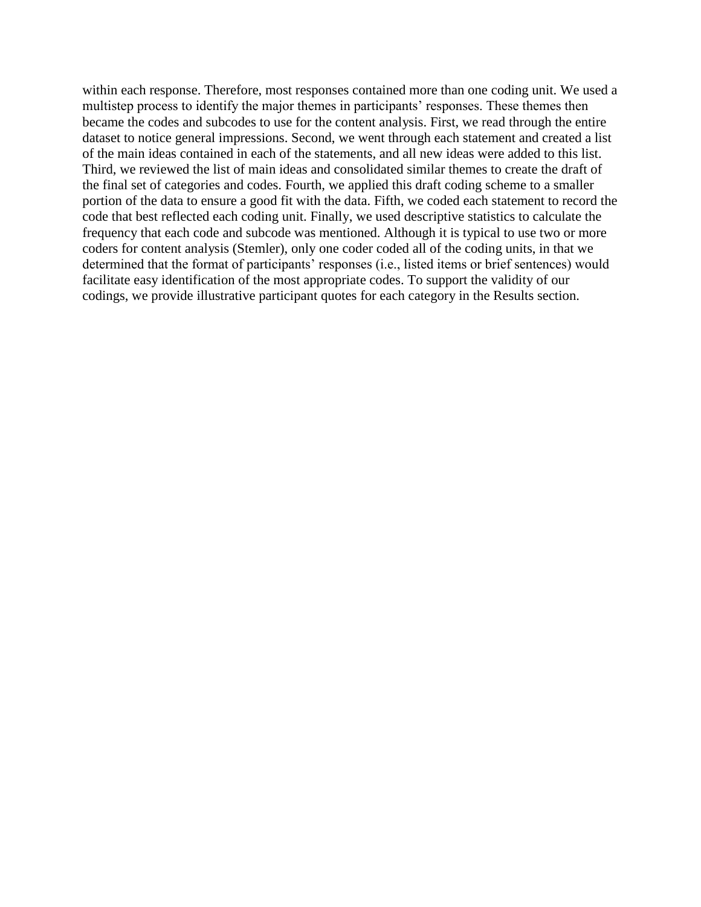within each response. Therefore, most responses contained more than one coding unit. We used a multistep process to identify the major themes in participants' responses. These themes then became the codes and subcodes to use for the content analysis. First, we read through the entire dataset to notice general impressions. Second, we went through each statement and created a list of the main ideas contained in each of the statements, and all new ideas were added to this list. Third, we reviewed the list of main ideas and consolidated similar themes to create the draft of the final set of categories and codes. Fourth, we applied this draft coding scheme to a smaller portion of the data to ensure a good fit with the data. Fifth, we coded each statement to record the code that best reflected each coding unit. Finally, we used descriptive statistics to calculate the frequency that each code and subcode was mentioned. Although it is typical to use two or more coders for content analysis (Stemler), only one coder coded all of the coding units, in that we determined that the format of participants' responses (i.e., listed items or brief sentences) would facilitate easy identification of the most appropriate codes. To support the validity of our codings, we provide illustrative participant quotes for each category in the Results section.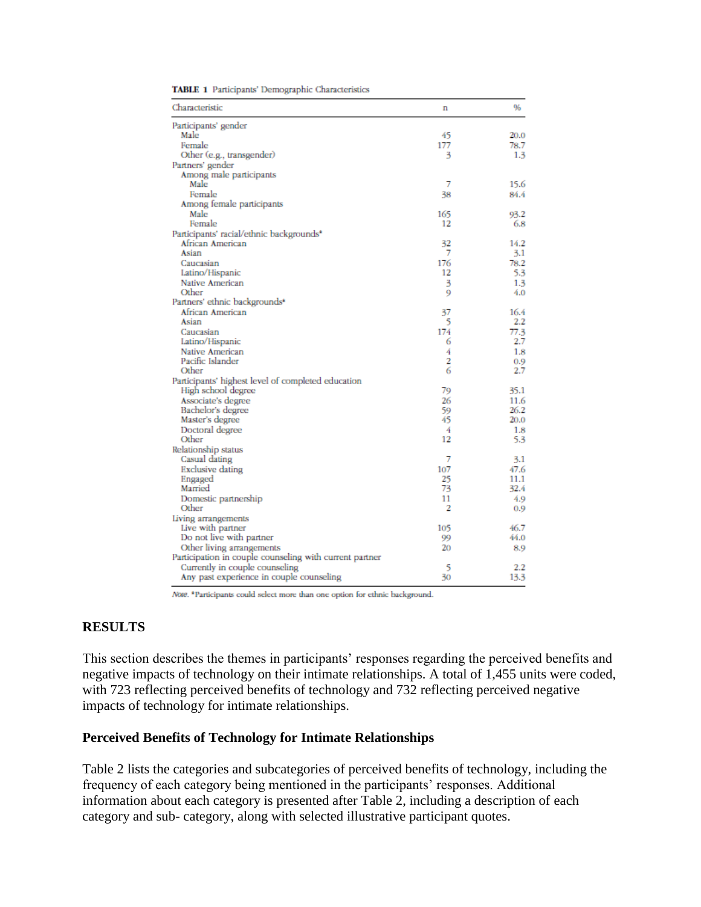| Characteristic                                          | n              | %    |
|---------------------------------------------------------|----------------|------|
| Participants' gender                                    |                |      |
| Male                                                    | 45             | 20.0 |
| Female                                                  | 177            | 78.7 |
| Other (e.g., transgender)                               | 3              | 1.3  |
| Partners' gender                                        |                |      |
| Among male participants                                 |                |      |
| Male                                                    | 7              | 15.6 |
| Female                                                  | 38             | 84.4 |
| Among female participants                               |                |      |
| Male                                                    | 165            | 93.2 |
| Female                                                  | 12             | 6.8  |
| Participants' racial/ethnic backgrounds <sup>*</sup>    |                |      |
| African American                                        | 32             | 14.2 |
| Asian                                                   | 7              | 3.1  |
| Caucasian                                               | 176            | 78.2 |
| Latino/Hispanic                                         | 12             | 5.3  |
| Native American                                         | 3              | 1.3  |
| Other                                                   | 9              | 4.0  |
| Partners' ethnic backgrounds <sup>*</sup>               |                |      |
| African American                                        | 37             | 16.4 |
| Asian                                                   | 5              | 2.2  |
| Caucasian                                               | 174            | 77.3 |
| Latino/Hispanic                                         | 6              | 2.7  |
| Native American                                         | 4              | 1.8  |
| Pacific Islander                                        | 2              | 0.9  |
| Other                                                   | 6              | 2.7  |
| Participants' highest level of completed education      |                |      |
| High school degree                                      | 79             | 35.1 |
| Associate's degree                                      | 26             | 11.6 |
| Bachelor's degree                                       | 59             | 26.2 |
| Master's degree                                         | 45             | 20.0 |
| Doctoral degree                                         | 4              | 1.8  |
| Other                                                   | 12             | 5.3  |
| Relationship status                                     |                |      |
| Casual dating                                           | 7              | 3.1  |
| <b>Exclusive dating</b>                                 | 107            | 47.6 |
| Engaged                                                 | 25             | 11.1 |
| Married                                                 | 73             | 32.4 |
| Domestic partnership                                    | 11             | 4.9  |
| Other                                                   | $\overline{2}$ | 0.9  |
| Living arrangements                                     |                |      |
| Live with partner                                       | 105            | 46.7 |
| Do not live with partner                                | 99             | 44.0 |
| Other living arrangements                               | 20             | 8.9  |
| Participation in couple counseling with current partner |                |      |
| Currently in couple counseling                          | 5              | 2.2  |
| Any past experience in couple counseling                | 30             | 13.3 |

|  |  | TABLE 1 Participants' Demographic Characteristics |
|--|--|---------------------------------------------------|
|  |  |                                                   |

Note. \*Participants could select more than one option for ethnic background.

#### **RESULTS**

This section describes the themes in participants' responses regarding the perceived benefits and negative impacts of technology on their intimate relationships. A total of 1,455 units were coded, with 723 reflecting perceived benefits of technology and 732 reflecting perceived negative impacts of technology for intimate relationships.

#### **Perceived Benefits of Technology for Intimate Relationships**

Table 2 lists the categories and subcategories of perceived benefits of technology, including the frequency of each category being mentioned in the participants' responses. Additional information about each category is presented after Table 2, including a description of each category and sub- category, along with selected illustrative participant quotes.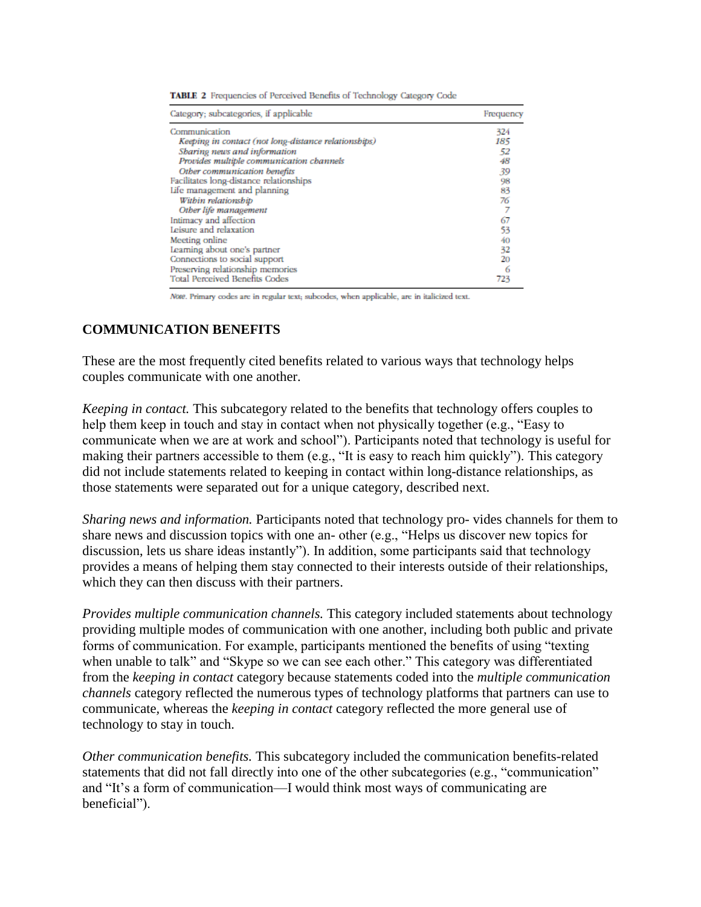| Category; subcategories, if applicable               | Frequency |
|------------------------------------------------------|-----------|
| Communication                                        | 324       |
| Keeping in contact (not long-distance relationships) | 185       |
| Sharing news and information                         | 52        |
| Provides multiple communication cbannels             | 48        |
| Other communication benefits                         | 39        |
| Facilitates long-distance relationships              | 98        |
| Life management and planning                         | 83        |
| Within relationship                                  | 76        |
| Other life management                                |           |
| Intimacy and affection                               | 67        |
| Leisure and relaxation                               | 53        |
| Meeting online                                       | 40        |
| Learning about one's partner                         | 32        |
| Connections to social support                        | 20        |
| Preserving relationship memories                     |           |
| Total Perceived Benefits Codes                       | 723       |

TABLE 2 Frequencies of Perceived Benefits of Technology Category Code

Note. Primary codes are in regular text; subcodes, when applicable, are in italicized text.

### **COMMUNICATION BENEFITS**

These are the most frequently cited benefits related to various ways that technology helps couples communicate with one another.

*Keeping in contact.* This subcategory related to the benefits that technology offers couples to help them keep in touch and stay in contact when not physically together (e.g., "Easy to communicate when we are at work and school"). Participants noted that technology is useful for making their partners accessible to them (e.g., "It is easy to reach him quickly"). This category did not include statements related to keeping in contact within long-distance relationships, as those statements were separated out for a unique category, described next.

*Sharing news and information.* Participants noted that technology pro- vides channels for them to share news and discussion topics with one an- other (e.g., "Helps us discover new topics for discussion, lets us share ideas instantly"). In addition, some participants said that technology provides a means of helping them stay connected to their interests outside of their relationships, which they can then discuss with their partners.

*Provides multiple communication channels.* This category included statements about technology providing multiple modes of communication with one another, including both public and private forms of communication. For example, participants mentioned the benefits of using "texting when unable to talk" and "Skype so we can see each other." This category was differentiated from the *keeping in contact* category because statements coded into the *multiple communication channels* category reflected the numerous types of technology platforms that partners can use to communicate*,* whereas the *keeping in contact* category reflected the more general use of technology to stay in touch.

*Other communication benefits.* This subcategory included the communication benefits-related statements that did not fall directly into one of the other subcategories (e.g., "communication" and "It's a form of communication—I would think most ways of communicating are beneficial").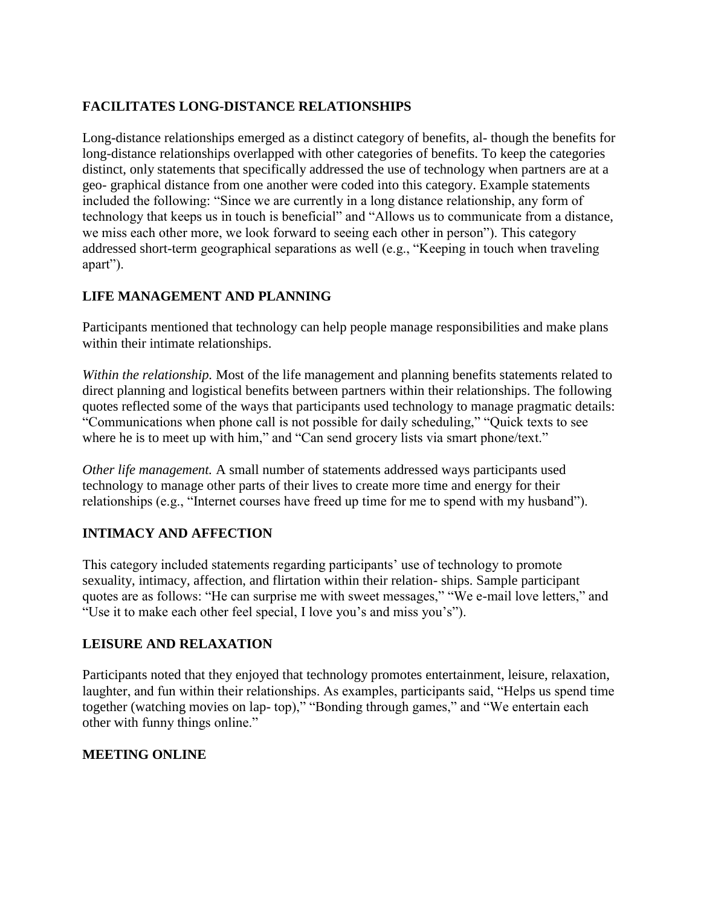## **FACILITATES LONG-DISTANCE RELATIONSHIPS**

Long-distance relationships emerged as a distinct category of benefits, al- though the benefits for long-distance relationships overlapped with other categories of benefits. To keep the categories distinct, only statements that specifically addressed the use of technology when partners are at a geo- graphical distance from one another were coded into this category. Example statements included the following: "Since we are currently in a long distance relationship, any form of technology that keeps us in touch is beneficial" and "Allows us to communicate from a distance, we miss each other more, we look forward to seeing each other in person"). This category addressed short-term geographical separations as well (e.g., "Keeping in touch when traveling apart").

## **LIFE MANAGEMENT AND PLANNING**

Participants mentioned that technology can help people manage responsibilities and make plans within their intimate relationships.

*Within the relationship.* Most of the life management and planning benefits statements related to direct planning and logistical benefits between partners within their relationships. The following quotes reflected some of the ways that participants used technology to manage pragmatic details: "Communications when phone call is not possible for daily scheduling," "Quick texts to see where he is to meet up with him," and "Can send grocery lists via smart phone/text."

*Other life management.* A small number of statements addressed ways participants used technology to manage other parts of their lives to create more time and energy for their relationships (e.g., "Internet courses have freed up time for me to spend with my husband").

## **INTIMACY AND AFFECTION**

This category included statements regarding participants' use of technology to promote sexuality, intimacy, affection, and flirtation within their relation- ships. Sample participant quotes are as follows: "He can surprise me with sweet messages," "We e-mail love letters," and "Use it to make each other feel special, I love you's and miss you's").

## **LEISURE AND RELAXATION**

Participants noted that they enjoyed that technology promotes entertainment, leisure, relaxation, laughter, and fun within their relationships. As examples, participants said, "Helps us spend time together (watching movies on lap- top)," "Bonding through games," and "We entertain each other with funny things online."

#### **MEETING ONLINE**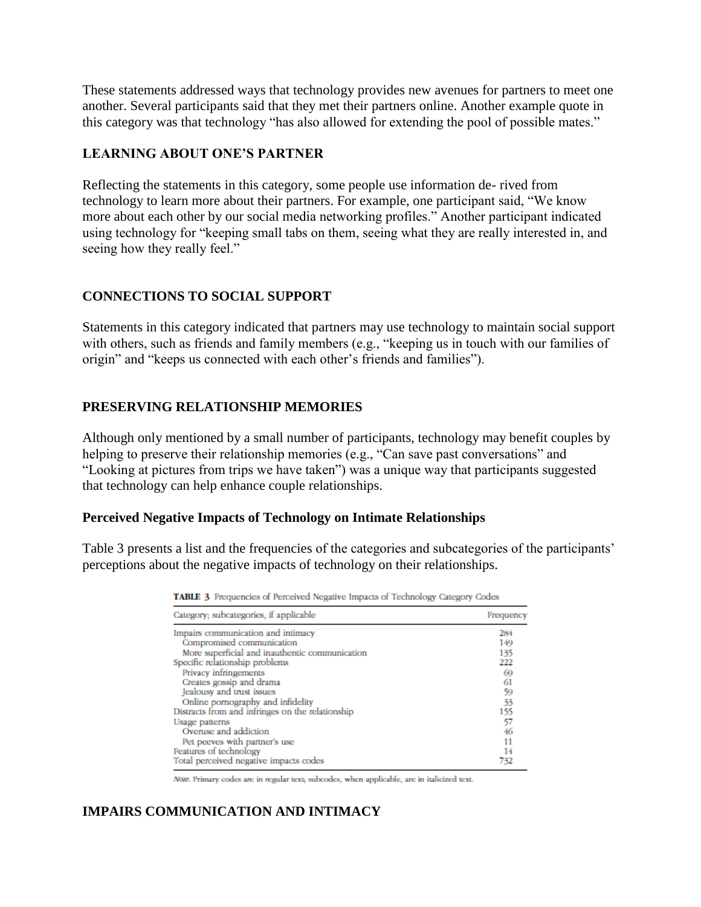These statements addressed ways that technology provides new avenues for partners to meet one another. Several participants said that they met their partners online. Another example quote in this category was that technology "has also allowed for extending the pool of possible mates."

#### **LEARNING ABOUT ONE'S PARTNER**

Reflecting the statements in this category, some people use information de- rived from technology to learn more about their partners. For example, one participant said, "We know more about each other by our social media networking profiles." Another participant indicated using technology for "keeping small tabs on them, seeing what they are really interested in, and seeing how they really feel."

## **CONNECTIONS TO SOCIAL SUPPORT**

Statements in this category indicated that partners may use technology to maintain social support with others, such as friends and family members (e.g., "keeping us in touch with our families of origin" and "keeps us connected with each other's friends and families").

## **PRESERVING RELATIONSHIP MEMORIES**

Although only mentioned by a small number of participants, technology may benefit couples by helping to preserve their relationship memories (e.g., "Can save past conversations" and "Looking at pictures from trips we have taken") was a unique way that participants suggested that technology can help enhance couple relationships.

## **Perceived Negative Impacts of Technology on Intimate Relationships**

Table 3 presents a list and the frequencies of the categories and subcategories of the participants' perceptions about the negative impacts of technology on their relationships.

| Category; subcategories, if applicable           | Frequency |
|--------------------------------------------------|-----------|
| Impairs communication and intimacy               | 284       |
| Compromised communication                        | 149       |
| More superficial and inauthentic communication   | 135       |
| Specific relationship problems                   | 222       |
| Privacy infringements                            | 69        |
| Creates gossip and drama                         | 61        |
| Jealousy and trust issues                        | 59        |
| Online pomography and infidelity                 | 33        |
| Distracts from and infringes on the relationship | 155       |
| Usage patterns                                   | 57        |
| Overuse and addiction                            | 46        |
| Pet peeves with partner's use                    | 11        |
| Features of technology                           | 14        |
| Total perceived negative impacts codes           | 732       |

TABLE 3 Frequencies of Perceived Negative Impacts of Technology Category Codes

Note. Primary codes are in regular text; subcodes, when applicable, are in italicized text.

# **IMPAIRS COMMUNICATION AND INTIMACY**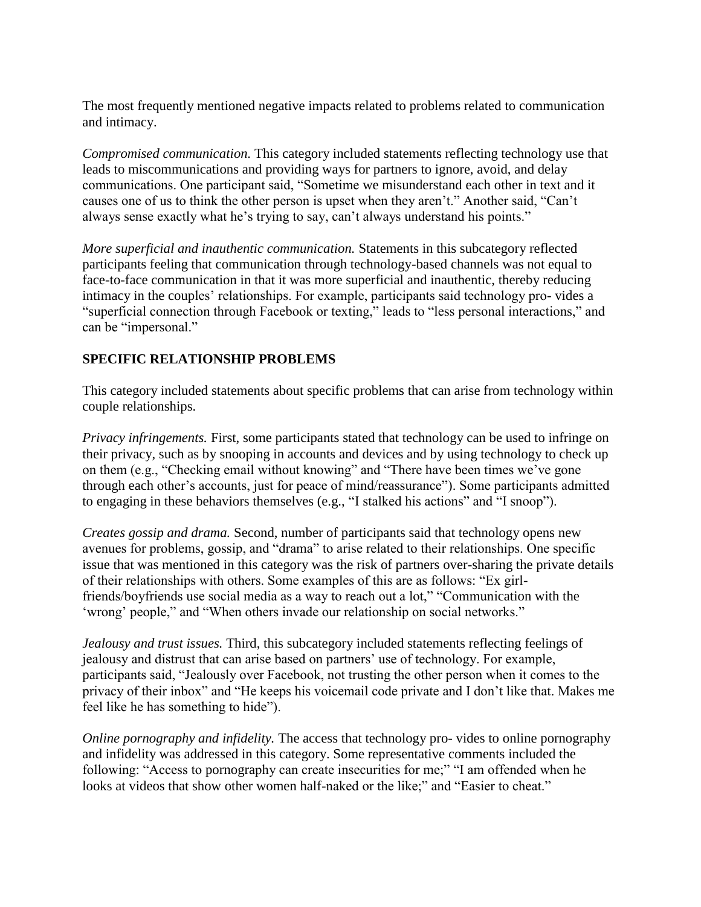The most frequently mentioned negative impacts related to problems related to communication and intimacy.

*Compromised communication.* This category included statements reflecting technology use that leads to miscommunications and providing ways for partners to ignore, avoid, and delay communications. One participant said, "Sometime we misunderstand each other in text and it causes one of us to think the other person is upset when they aren't." Another said, "Can't always sense exactly what he's trying to say, can't always understand his points."

*More superficial and inauthentic communication.* Statements in this subcategory reflected participants feeling that communication through technology-based channels was not equal to face-to-face communication in that it was more superficial and inauthentic, thereby reducing intimacy in the couples' relationships. For example, participants said technology pro- vides a "superficial connection through Facebook or texting," leads to "less personal interactions," and can be "impersonal."

## **SPECIFIC RELATIONSHIP PROBLEMS**

This category included statements about specific problems that can arise from technology within couple relationships.

*Privacy infringements.* First, some participants stated that technology can be used to infringe on their privacy, such as by snooping in accounts and devices and by using technology to check up on them (e.g., "Checking email without knowing" and "There have been times we've gone through each other's accounts, just for peace of mind/reassurance"). Some participants admitted to engaging in these behaviors themselves (e.g., "I stalked his actions" and "I snoop").

*Creates gossip and drama.* Second, number of participants said that technology opens new avenues for problems, gossip, and "drama" to arise related to their relationships. One specific issue that was mentioned in this category was the risk of partners over-sharing the private details of their relationships with others. Some examples of this are as follows: "Ex girlfriends/boyfriends use social media as a way to reach out a lot," "Communication with the 'wrong' people," and "When others invade our relationship on social networks."

*Jealousy and trust issues.* Third, this subcategory included statements reflecting feelings of jealousy and distrust that can arise based on partners' use of technology. For example, participants said, "Jealously over Facebook, not trusting the other person when it comes to the privacy of their inbox" and "He keeps his voicemail code private and I don't like that. Makes me feel like he has something to hide").

*Online pornography and infidelity.* The access that technology pro- vides to online pornography and infidelity was addressed in this category. Some representative comments included the following: "Access to pornography can create insecurities for me;" "I am offended when he looks at videos that show other women half-naked or the like;" and "Easier to cheat."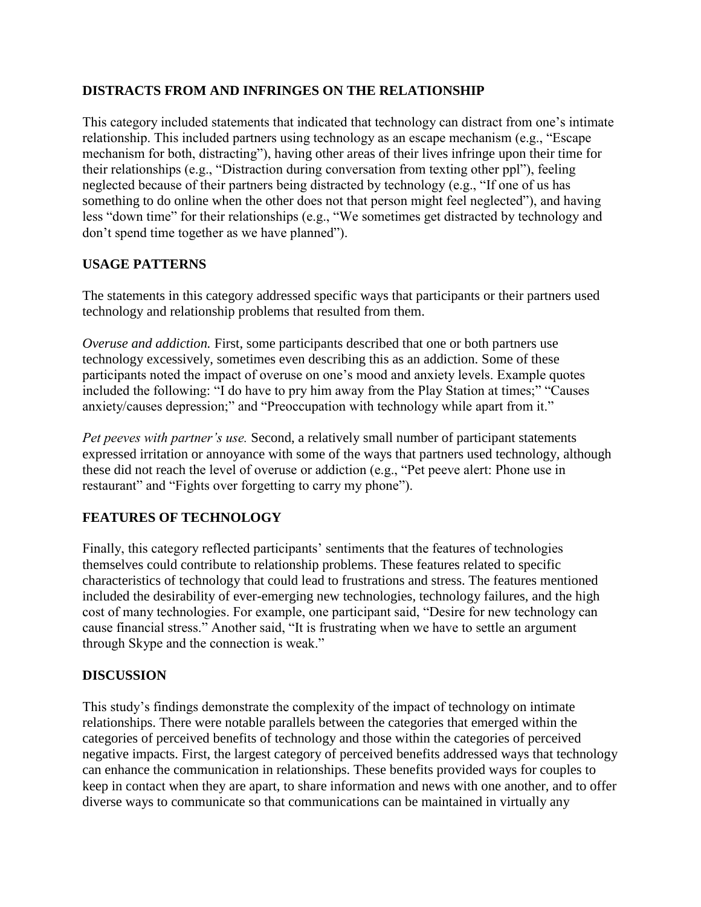## **DISTRACTS FROM AND INFRINGES ON THE RELATIONSHIP**

This category included statements that indicated that technology can distract from one's intimate relationship. This included partners using technology as an escape mechanism (e.g., "Escape mechanism for both, distracting"), having other areas of their lives infringe upon their time for their relationships (e.g., "Distraction during conversation from texting other ppl"), feeling neglected because of their partners being distracted by technology (e.g., "If one of us has something to do online when the other does not that person might feel neglected"), and having less "down time" for their relationships (e.g., "We sometimes get distracted by technology and don't spend time together as we have planned").

## **USAGE PATTERNS**

The statements in this category addressed specific ways that participants or their partners used technology and relationship problems that resulted from them.

*Overuse and addiction.* First, some participants described that one or both partners use technology excessively, sometimes even describing this as an addiction. Some of these participants noted the impact of overuse on one's mood and anxiety levels. Example quotes included the following: "I do have to pry him away from the Play Station at times;" "Causes anxiety/causes depression;" and "Preoccupation with technology while apart from it."

*Pet peeves with partner's use.* Second, a relatively small number of participant statements expressed irritation or annoyance with some of the ways that partners used technology, although these did not reach the level of overuse or addiction (e.g., "Pet peeve alert: Phone use in restaurant" and "Fights over forgetting to carry my phone").

# **FEATURES OF TECHNOLOGY**

Finally, this category reflected participants' sentiments that the features of technologies themselves could contribute to relationship problems. These features related to specific characteristics of technology that could lead to frustrations and stress. The features mentioned included the desirability of ever-emerging new technologies, technology failures, and the high cost of many technologies. For example, one participant said, "Desire for new technology can cause financial stress." Another said, "It is frustrating when we have to settle an argument through Skype and the connection is weak."

## **DISCUSSION**

This study's findings demonstrate the complexity of the impact of technology on intimate relationships. There were notable parallels between the categories that emerged within the categories of perceived benefits of technology and those within the categories of perceived negative impacts. First, the largest category of perceived benefits addressed ways that technology can enhance the communication in relationships. These benefits provided ways for couples to keep in contact when they are apart, to share information and news with one another, and to offer diverse ways to communicate so that communications can be maintained in virtually any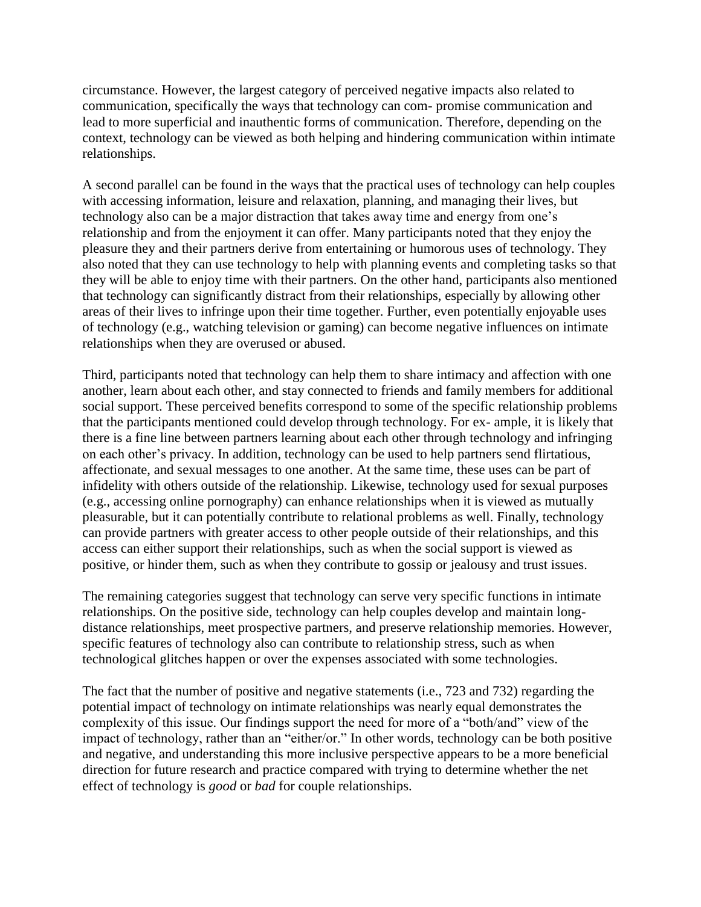circumstance. However, the largest category of perceived negative impacts also related to communication, specifically the ways that technology can com- promise communication and lead to more superficial and inauthentic forms of communication. Therefore, depending on the context, technology can be viewed as both helping and hindering communication within intimate relationships.

A second parallel can be found in the ways that the practical uses of technology can help couples with accessing information, leisure and relaxation, planning, and managing their lives, but technology also can be a major distraction that takes away time and energy from one's relationship and from the enjoyment it can offer. Many participants noted that they enjoy the pleasure they and their partners derive from entertaining or humorous uses of technology. They also noted that they can use technology to help with planning events and completing tasks so that they will be able to enjoy time with their partners. On the other hand, participants also mentioned that technology can significantly distract from their relationships, especially by allowing other areas of their lives to infringe upon their time together. Further, even potentially enjoyable uses of technology (e.g., watching television or gaming) can become negative influences on intimate relationships when they are overused or abused.

Third, participants noted that technology can help them to share intimacy and affection with one another, learn about each other, and stay connected to friends and family members for additional social support. These perceived benefits correspond to some of the specific relationship problems that the participants mentioned could develop through technology. For ex- ample, it is likely that there is a fine line between partners learning about each other through technology and infringing on each other's privacy. In addition, technology can be used to help partners send flirtatious, affectionate, and sexual messages to one another. At the same time, these uses can be part of infidelity with others outside of the relationship. Likewise, technology used for sexual purposes (e.g., accessing online pornography) can enhance relationships when it is viewed as mutually pleasurable, but it can potentially contribute to relational problems as well. Finally, technology can provide partners with greater access to other people outside of their relationships, and this access can either support their relationships, such as when the social support is viewed as positive, or hinder them, such as when they contribute to gossip or jealousy and trust issues.

The remaining categories suggest that technology can serve very specific functions in intimate relationships. On the positive side, technology can help couples develop and maintain longdistance relationships, meet prospective partners, and preserve relationship memories. However, specific features of technology also can contribute to relationship stress, such as when technological glitches happen or over the expenses associated with some technologies.

The fact that the number of positive and negative statements (i.e., 723 and 732) regarding the potential impact of technology on intimate relationships was nearly equal demonstrates the complexity of this issue. Our findings support the need for more of a "both/and" view of the impact of technology, rather than an "either/or." In other words, technology can be both positive and negative, and understanding this more inclusive perspective appears to be a more beneficial direction for future research and practice compared with trying to determine whether the net effect of technology is *good* or *bad* for couple relationships.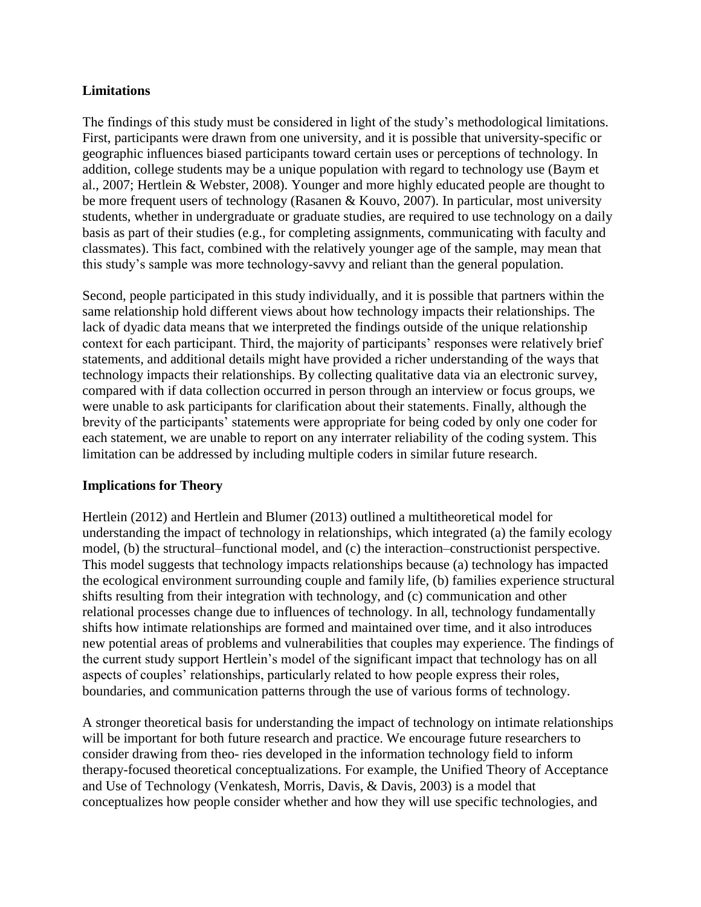### **Limitations**

The findings of this study must be considered in light of the study's methodological limitations. First, participants were drawn from one university, and it is possible that university-specific or geographic influences biased participants toward certain uses or perceptions of technology. In addition, college students may be a unique population with regard to technology use (Baym et al., 2007; Hertlein & Webster, 2008). Younger and more highly educated people are thought to be more frequent users of technology (Rasanen & Kouvo, 2007). In particular, most university students, whether in undergraduate or graduate studies, are required to use technology on a daily basis as part of their studies (e.g., for completing assignments, communicating with faculty and classmates). This fact, combined with the relatively younger age of the sample, may mean that this study's sample was more technology-savvy and reliant than the general population.

Second, people participated in this study individually, and it is possible that partners within the same relationship hold different views about how technology impacts their relationships. The lack of dyadic data means that we interpreted the findings outside of the unique relationship context for each participant. Third, the majority of participants' responses were relatively brief statements, and additional details might have provided a richer understanding of the ways that technology impacts their relationships. By collecting qualitative data via an electronic survey, compared with if data collection occurred in person through an interview or focus groups, we were unable to ask participants for clarification about their statements. Finally, although the brevity of the participants' statements were appropriate for being coded by only one coder for each statement, we are unable to report on any interrater reliability of the coding system. This limitation can be addressed by including multiple coders in similar future research.

## **Implications for Theory**

Hertlein (2012) and Hertlein and Blumer (2013) outlined a multitheoretical model for understanding the impact of technology in relationships, which integrated (a) the family ecology model, (b) the structural–functional model, and (c) the interaction–constructionist perspective. This model suggests that technology impacts relationships because (a) technology has impacted the ecological environment surrounding couple and family life, (b) families experience structural shifts resulting from their integration with technology, and (c) communication and other relational processes change due to influences of technology. In all, technology fundamentally shifts how intimate relationships are formed and maintained over time, and it also introduces new potential areas of problems and vulnerabilities that couples may experience. The findings of the current study support Hertlein's model of the significant impact that technology has on all aspects of couples' relationships, particularly related to how people express their roles, boundaries, and communication patterns through the use of various forms of technology.

A stronger theoretical basis for understanding the impact of technology on intimate relationships will be important for both future research and practice. We encourage future researchers to consider drawing from theo- ries developed in the information technology field to inform therapy-focused theoretical conceptualizations. For example, the Unified Theory of Acceptance and Use of Technology (Venkatesh, Morris, Davis, & Davis, 2003) is a model that conceptualizes how people consider whether and how they will use specific technologies, and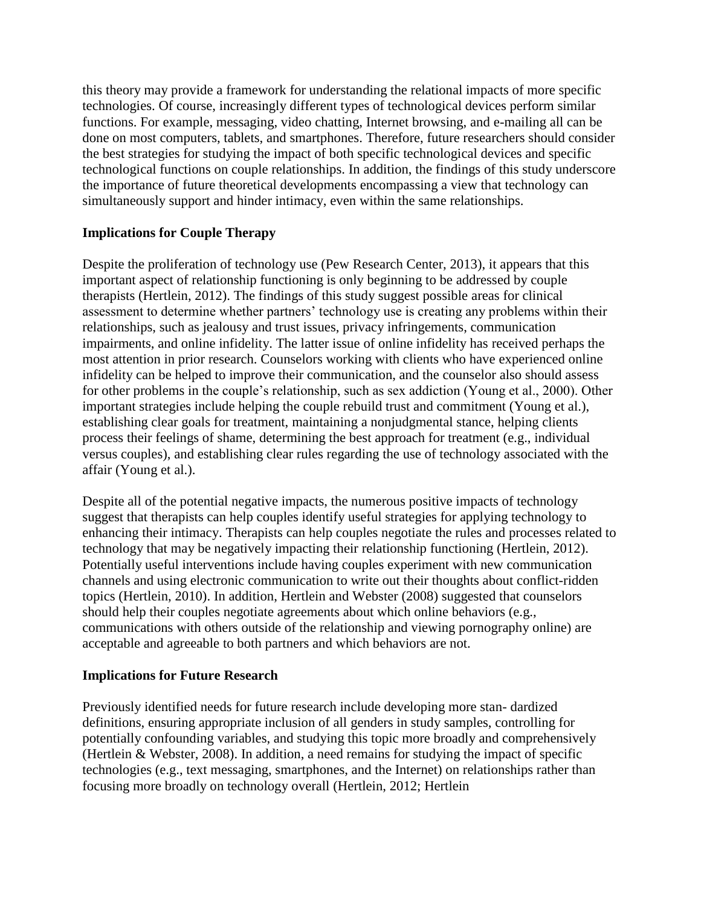this theory may provide a framework for understanding the relational impacts of more specific technologies. Of course, increasingly different types of technological devices perform similar functions. For example, messaging, video chatting, Internet browsing, and e-mailing all can be done on most computers, tablets, and smartphones. Therefore, future researchers should consider the best strategies for studying the impact of both specific technological devices and specific technological functions on couple relationships. In addition, the findings of this study underscore the importance of future theoretical developments encompassing a view that technology can simultaneously support and hinder intimacy, even within the same relationships.

## **Implications for Couple Therapy**

Despite the proliferation of technology use (Pew Research Center, 2013), it appears that this important aspect of relationship functioning is only beginning to be addressed by couple therapists (Hertlein, 2012). The findings of this study suggest possible areas for clinical assessment to determine whether partners' technology use is creating any problems within their relationships, such as jealousy and trust issues, privacy infringements, communication impairments, and online infidelity. The latter issue of online infidelity has received perhaps the most attention in prior research. Counselors working with clients who have experienced online infidelity can be helped to improve their communication, and the counselor also should assess for other problems in the couple's relationship, such as sex addiction (Young et al., 2000). Other important strategies include helping the couple rebuild trust and commitment (Young et al.), establishing clear goals for treatment, maintaining a nonjudgmental stance, helping clients process their feelings of shame, determining the best approach for treatment (e.g., individual versus couples), and establishing clear rules regarding the use of technology associated with the affair (Young et al.).

Despite all of the potential negative impacts, the numerous positive impacts of technology suggest that therapists can help couples identify useful strategies for applying technology to enhancing their intimacy. Therapists can help couples negotiate the rules and processes related to technology that may be negatively impacting their relationship functioning (Hertlein, 2012). Potentially useful interventions include having couples experiment with new communication channels and using electronic communication to write out their thoughts about conflict-ridden topics (Hertlein, 2010). In addition, Hertlein and Webster (2008) suggested that counselors should help their couples negotiate agreements about which online behaviors (e.g., communications with others outside of the relationship and viewing pornography online) are acceptable and agreeable to both partners and which behaviors are not.

## **Implications for Future Research**

Previously identified needs for future research include developing more stan- dardized definitions, ensuring appropriate inclusion of all genders in study samples, controlling for potentially confounding variables, and studying this topic more broadly and comprehensively (Hertlein & Webster, 2008). In addition, a need remains for studying the impact of specific technologies (e.g., text messaging, smartphones, and the Internet) on relationships rather than focusing more broadly on technology overall (Hertlein, 2012; Hertlein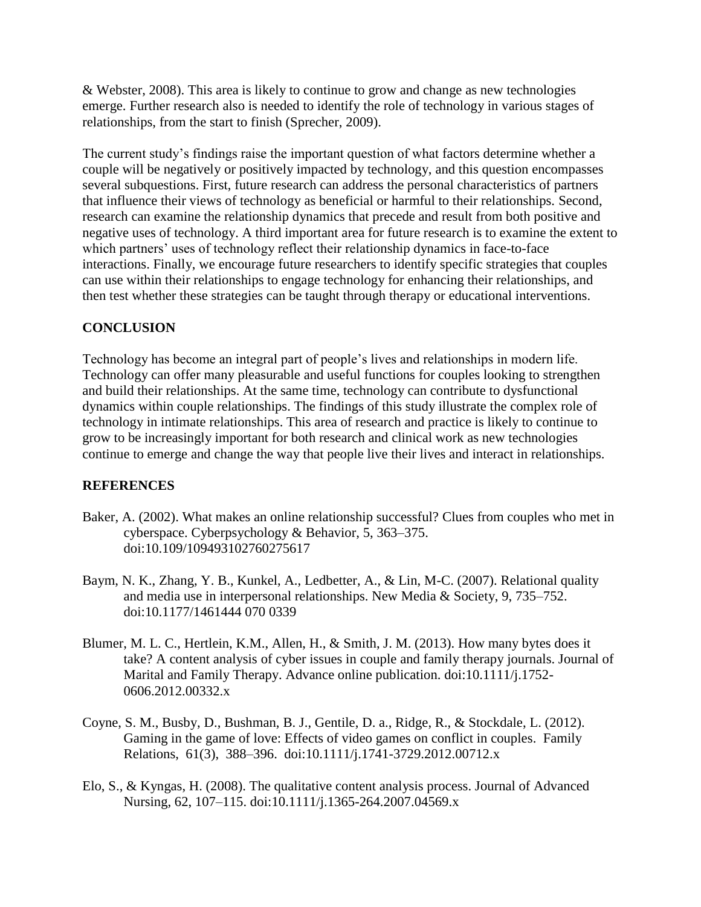& Webster, 2008). This area is likely to continue to grow and change as new technologies emerge. Further research also is needed to identify the role of technology in various stages of relationships, from the start to finish (Sprecher, 2009).

The current study's findings raise the important question of what factors determine whether a couple will be negatively or positively impacted by technology, and this question encompasses several subquestions. First, future research can address the personal characteristics of partners that influence their views of technology as beneficial or harmful to their relationships. Second, research can examine the relationship dynamics that precede and result from both positive and negative uses of technology. A third important area for future research is to examine the extent to which partners' uses of technology reflect their relationship dynamics in face-to-face interactions. Finally, we encourage future researchers to identify specific strategies that couples can use within their relationships to engage technology for enhancing their relationships, and then test whether these strategies can be taught through therapy or educational interventions.

## **CONCLUSION**

Technology has become an integral part of people's lives and relationships in modern life. Technology can offer many pleasurable and useful functions for couples looking to strengthen and build their relationships. At the same time, technology can contribute to dysfunctional dynamics within couple relationships. The findings of this study illustrate the complex role of technology in intimate relationships. This area of research and practice is likely to continue to grow to be increasingly important for both research and clinical work as new technologies continue to emerge and change the way that people live their lives and interact in relationships.

## **REFERENCES**

- Baker, A. (2002). What makes an online relationship successful? Clues from couples who met in cyberspace. Cyberpsychology & Behavior, 5, 363–375. doi:10.109/109493102760275617
- Baym, N. K., Zhang, Y. B., Kunkel, A., Ledbetter, A., & Lin, M-C. (2007). Relational quality and media use in interpersonal relationships. New Media & Society, 9, 735–752. doi:10.1177/1461444 070 0339
- Blumer, M. L. C., Hertlein, K.M., Allen, H., & Smith, J. M. (2013). How many bytes does it take? A content analysis of cyber issues in couple and family therapy journals. Journal of Marital and Family Therapy. Advance online publication. doi:10.1111/j.1752- 0606.2012.00332.x
- Coyne, S. M., Busby, D., Bushman, B. J., Gentile, D. a., Ridge, R., & Stockdale, L. (2012). Gaming in the game of love: Effects of video games on conflict in couples. Family Relations, 61(3), 388–396. doi:10.1111/j.1741-3729.2012.00712.x
- Elo, S., & Kyngas, H. (2008). The qualitative content analysis process. Journal of Advanced Nursing, 62, 107–115. doi:10.1111/j.1365-264.2007.04569.x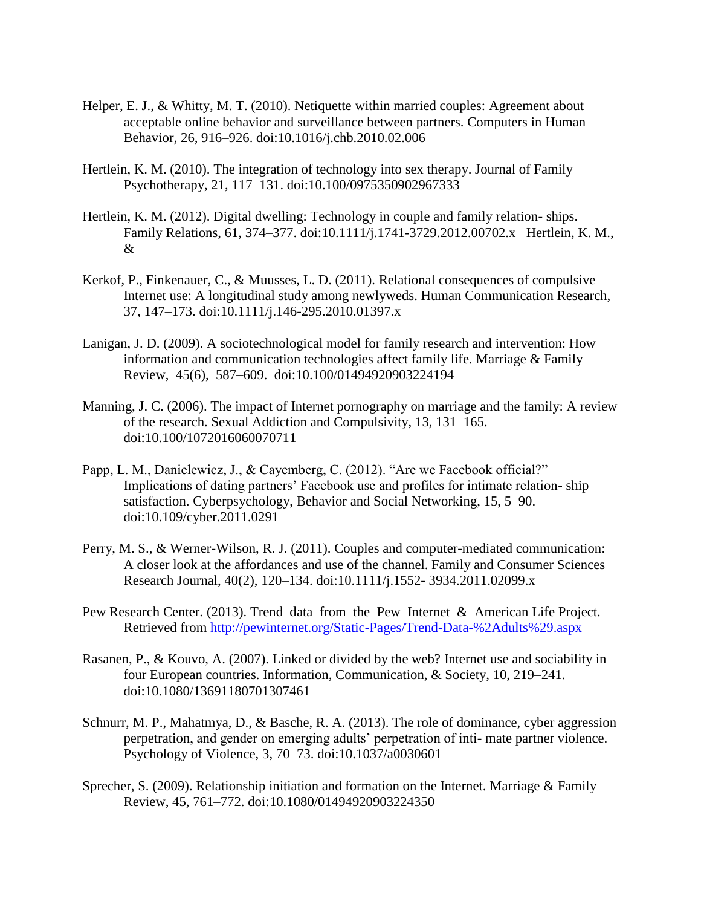- Helper, E. J., & Whitty, M. T. (2010). Netiquette within married couples: Agreement about acceptable online behavior and surveillance between partners. Computers in Human Behavior, 26, 916–926. doi:10.1016/j.chb.2010.02.006
- Hertlein, K. M. (2010). The integration of technology into sex therapy. Journal of Family Psychotherapy, 21, 117–131. doi:10.100/0975350902967333
- Hertlein, K. M. (2012). Digital dwelling: Technology in couple and family relation- ships. Family Relations, 61, 374–377. doi:10.1111/j.1741-3729.2012.00702.x Hertlein, K. M., &
- Kerkof, P., Finkenauer, C., & Muusses, L. D. (2011). Relational consequences of compulsive Internet use: A longitudinal study among newlyweds. Human Communication Research, 37, 147–173. doi:10.1111/j.146-295.2010.01397.x
- Lanigan, J. D. (2009). A sociotechnological model for family research and intervention: How information and communication technologies affect family life. Marriage & Family Review, 45(6), 587–609. doi:10.100/01494920903224194
- Manning, J. C. (2006). The impact of Internet pornography on marriage and the family: A review of the research. Sexual Addiction and Compulsivity, 13, 131–165. doi:10.100/1072016060070711
- Papp, L. M., Danielewicz, J., & Cayemberg, C. (2012). "Are we Facebook official?" Implications of dating partners' Facebook use and profiles for intimate relation- ship satisfaction. Cyberpsychology, Behavior and Social Networking, 15, 5–90. doi:10.109/cyber.2011.0291
- Perry, M. S., & Werner-Wilson, R. J. (2011). Couples and computer-mediated communication: A closer look at the affordances and use of the channel. Family and Consumer Sciences Research Journal, 40(2), 120–134. doi:10.1111/j.1552- 3934.2011.02099.x
- Pew Research Center. (2013). Trend data from the Pew Internet & American Life Project. Retrieved from<http://pewinternet.org/Static-Pages/Trend-Data-%2Adults%29.aspx>
- Rasanen, P., & Kouvo, A. (2007). Linked or divided by the web? Internet use and sociability in four European countries. Information, Communication, & Society, 10, 219–241. doi:10.1080/13691180701307461
- Schnurr, M. P., Mahatmya, D., & Basche, R. A. (2013). The role of dominance, cyber aggression perpetration, and gender on emerging adults' perpetration of inti- mate partner violence. Psychology of Violence, 3, 70–73. doi:10.1037/a0030601
- Sprecher, S. (2009). Relationship initiation and formation on the Internet. Marriage & Family Review, 45, 761–772. doi:10.1080/01494920903224350